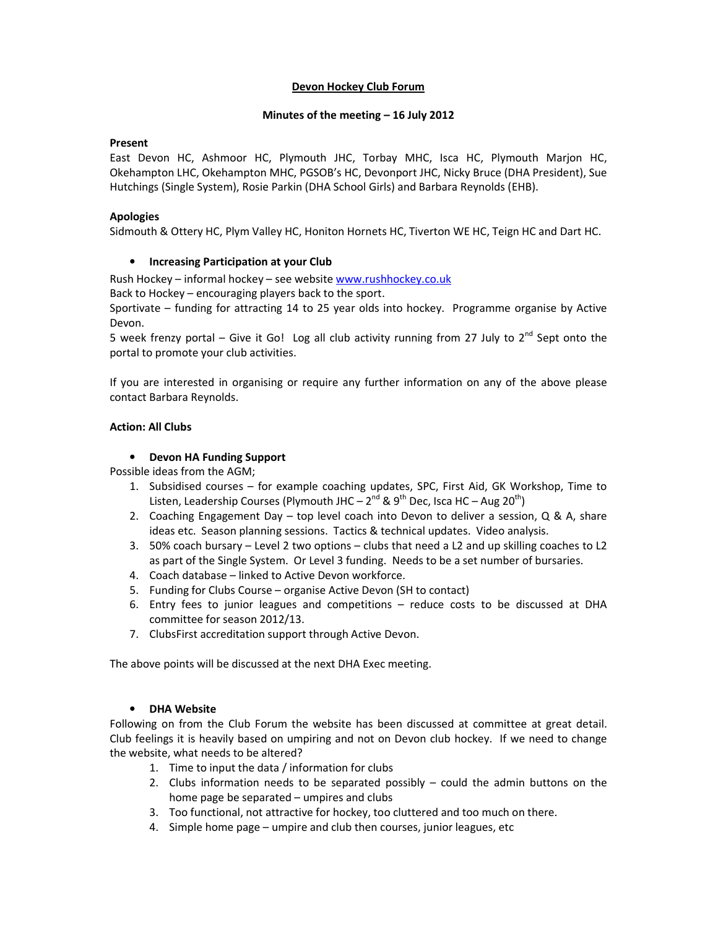### Devon Hockey Club Forum

#### Minutes of the meeting – 16 July 2012

### Present

East Devon HC, Ashmoor HC, Plymouth JHC, Torbay MHC, Isca HC, Plymouth Marjon HC, Okehampton LHC, Okehampton MHC, PGSOB's HC, Devonport JHC, Nicky Bruce (DHA President), Sue Hutchings (Single System), Rosie Parkin (DHA School Girls) and Barbara Reynolds (EHB).

### Apologies

Sidmouth & Ottery HC, Plym Valley HC, Honiton Hornets HC, Tiverton WE HC, Teign HC and Dart HC.

### • Increasing Participation at your Club

Rush Hockey – informal hockey – see website www.rushhockey.co.uk

Back to Hockey – encouraging players back to the sport.

Sportivate – funding for attracting 14 to 25 year olds into hockey. Programme organise by Active Devon.

5 week frenzy portal – Give it Go! Log all club activity running from 27 July to 2<sup>nd</sup> Sept onto the portal to promote your club activities.

If you are interested in organising or require any further information on any of the above please contact Barbara Reynolds.

### Action: All Clubs

### • Devon HA Funding Support

Possible ideas from the AGM;

- 1. Subsidised courses for example coaching updates, SPC, First Aid, GK Workshop, Time to Listen, Leadership Courses (Plymouth JHC –  $2^{nd}$  &  $9^{th}$  Dec, Isca HC – Aug  $20^{th}$ )
- 2. Coaching Engagement Day top level coach into Devon to deliver a session, Q & A, share ideas etc. Season planning sessions. Tactics & technical updates. Video analysis.
- 3. 50% coach bursary Level 2 two options clubs that need a L2 and up skilling coaches to L2 as part of the Single System. Or Level 3 funding. Needs to be a set number of bursaries.
- 4. Coach database linked to Active Devon workforce.
- 5. Funding for Clubs Course organise Active Devon (SH to contact)
- 6. Entry fees to junior leagues and competitions reduce costs to be discussed at DHA committee for season 2012/13.
- 7. ClubsFirst accreditation support through Active Devon.

The above points will be discussed at the next DHA Exec meeting.

# • DHA Website

Following on from the Club Forum the website has been discussed at committee at great detail. Club feelings it is heavily based on umpiring and not on Devon club hockey. If we need to change the website, what needs to be altered?

- 1. Time to input the data / information for clubs
- 2. Clubs information needs to be separated possibly could the admin buttons on the home page be separated – umpires and clubs
- 3. Too functional, not attractive for hockey, too cluttered and too much on there.
- 4. Simple home page umpire and club then courses, junior leagues, etc